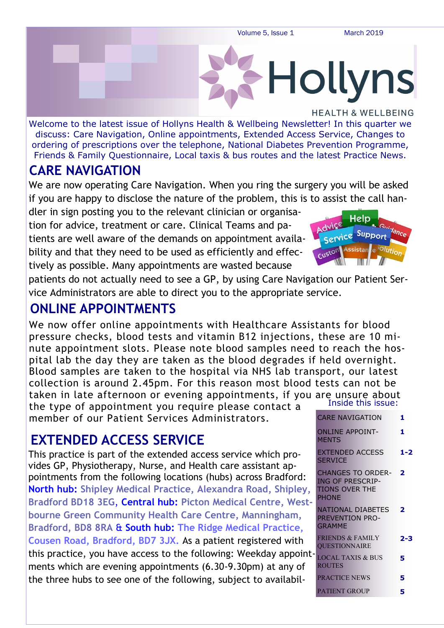Volume 5, Issue 1 March 2019

**Hollyns** 

**HEALTH & WELLBEING** Welcome to the latest issue of Hollyns Health & Wellbeing Newsletter! In this quarter we discuss: Care Navigation, Online appointments, Extended Access Service, Changes to ordering of prescriptions over the telephone, National Diabetes Prevention Programme, Friends & Family Questionnaire, Local taxis & bus routes and the latest Practice News.

#### **CARE NAVIGATION**

We are now operating Care Navigation. When you ring the surgery you will be asked if you are happy to disclose the nature of the problem, this is to assist the call han-

dler in sign posting you to the relevant clinician or organisation for advice, treatment or care. Clinical Teams and patients are well aware of the demands on appointment availability and that they need to be used as efficiently and effectively as possible. Many appointments are wasted because

Heln Support service Custon

patients do not actually need to see a GP, by using Care Navigation our Patient Service Administrators are able to direct you to the appropriate service.

#### **ONLINE APPOINTMENTS**

Inside this issue: We now offer online appointments with Healthcare Assistants for blood pressure checks, blood tests and vitamin B12 injections, these are 10 minute appointment slots. Please note blood samples need to reach the hospital lab the day they are taken as the blood degrades if held overnight. Blood samples are taken to the hospital via NHS lab transport, our latest collection is around 2.45pm. For this reason most blood tests can not be taken in late afternoon or evening appointments, if you are unsure about the type of appointment you require please contact a

member of our Patient Services Administrators.

## **EXTENDED ACCESS SERVICE**

This practice is part of the extended access service which provides GP, Physiotherapy, Nurse, and Health care assistant appointments from the following locations (hubs) across Bradford: **North hub: Shipley Medical Practice, Alexandra Road, Shipley, Bradford BD18 3EG**, **Central hub: Picton Medical Centre, Westbourne Green Community Health Care Centre, Manningham, Bradford, BD8 8RA** & **South hub: The Ridge Medical Practice, Cousen Road, Bradford, BD7 3JX.** As a patient registered with this practice, you have access to the following: Weekday appoint ments which are evening appointments (6.30-9.30pm) at any of the three hubs to see one of the following, subject to availabil-

|          | יאפפו פוווז אווכווז <b>ז</b>                                                                   |                |
|----------|------------------------------------------------------------------------------------------------|----------------|
|          | <b>CARE NAVIGATION</b>                                                                         | 1              |
|          | ONLINE APPOINT-<br><b>MENTS</b>                                                                | 1              |
|          | EXTENDED ACCESS<br><b>SERVICE</b>                                                              | $1-2$          |
| ۱,<br>t- | <b>CHANGES TO ORDER- 2</b><br><b>ING OF PRESCRIP-</b><br><b>TIONS OVER THE</b><br><b>PHONE</b> |                |
|          | NATIONAL DIABETES<br><b>PREVENTION PRO-</b><br>GRAMMF                                          | $\overline{2}$ |
|          | <b>FRIENDS &amp; FAMILY</b><br><b>OUESTIONNAIRE</b>                                            | $2 - 3$        |
| ا-it     | <b>LOCAL TAXIS &amp; BUS</b><br><b>ROUTES</b>                                                  | 5              |
|          | <b>PRACTICE NEWS</b>                                                                           | 5              |
|          | <b>PATIENT GROUP</b>                                                                           | 5              |
|          |                                                                                                |                |

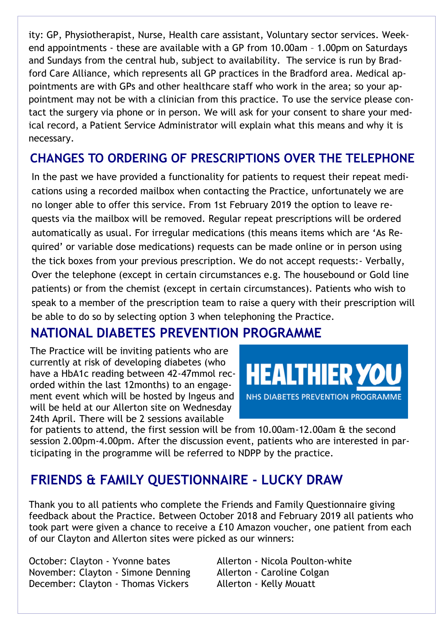ity: GP, Physiotherapist, Nurse, Health care assistant, Voluntary sector services. Weekend appointments - these are available with a GP from 10.00am – 1.00pm on Saturdays and Sundays from the central hub, subject to availability. The service is run by Bradford Care Alliance, which represents all GP practices in the Bradford area. Medical appointments are with GPs and other healthcare staff who work in the area; so your appointment may not be with a clinician from this practice. To use the service please contact the surgery via phone or in person. We will ask for your consent to share your medical record, a Patient Service Administrator will explain what this means and why it is necessary.

#### **CHANGES TO ORDERING OF PRESCRIPTIONS OVER THE TELEPHONE**

In the past we have provided a functionality for patients to request their repeat medications using a recorded mailbox when contacting the Practice, unfortunately we are no longer able to offer this service. From 1st February 2019 the option to leave requests via the mailbox will be removed. Regular repeat prescriptions will be ordered automatically as usual. For irregular medications (this means items which are 'As Required' or variable dose medications) requests can be made online or in person using the tick boxes from your previous prescription. We do not accept requests:- Verbally, Over the telephone (except in certain circumstances e.g. The housebound or Gold line patients) or from the chemist (except in certain circumstances). Patients who wish to speak to a member of the prescription team to raise a query with their prescription will be able to do so by selecting option 3 when telephoning the Practice.

#### **NATIONAL DIABETES PREVENTION PROGRAMME**

The Practice will be inviting patients who are currently at risk of developing diabetes (who have a HbA1c reading between 42-47mmol recorded within the last 12months) to an engagement event which will be hosted by Ingeus and will be held at our Allerton site on Wednesday 24th April. There will be 2 sessions available



for patients to attend, the first session will be from 10.00am-12.00am & the second session 2.00pm-4.00pm. After the discussion event, patients who are interested in participating in the programme will be referred to NDPP by the practice.

## **FRIENDS & FAMILY QUESTIONNAIRE - LUCKY DRAW**

Thank you to all patients who complete the Friends and Family Questionnaire giving feedback about the Practice. Between October 2018 and February 2019 all patients who took part were given a chance to receive a £10 Amazon voucher, one patient from each of our Clayton and Allerton sites were picked as our winners:

October: Clayton - Yvonne bates Allerton - Nicola Poulton-white November: Clayton - Simone Denning Allerton - Caroline Colgan December: Clayton - Thomas Vickers Allerton - Kelly Mouatt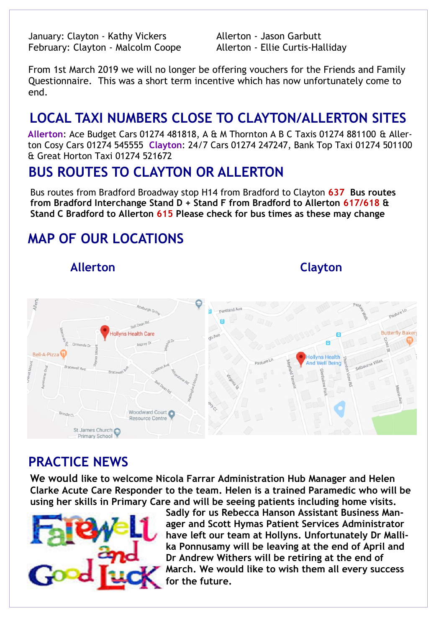January: Clayton - Kathy Vickers Allerton - Jason Garbutt February: Clayton - Malcolm Coope Allerton - Ellie Curtis-Halliday

From 1st March 2019 we will no longer be offering vouchers for the Friends and Family Questionnaire. This was a short term incentive which has now unfortunately come to end.

# **LOCAL TAXI NUMBERS CLOSE TO CLAYTON/ALLERTON SITES**

**Allerton**: Ace Budget Cars 01274 481818, A & M Thornton A B C Taxis 01274 881100 & Allerton Cosy Cars 01274 545555 **Clayton**: 24/7 Cars 01274 247247, Bank Top Taxi 01274 501100 & Great Horton Taxi 01274 521672

#### **BUS ROUTES TO CLAYTON OR ALLERTON**

Bus routes from Bradford Broadway stop H14 from Bradford to Clayton **637 Bus routes from Bradford Interchange Stand D + Stand F from Bradford to Allerton 617/618 & Stand C Bradford to Allerton 615 Please check for bus times as these may change** 

# **MAP OF OUR LOCATIONS**

 **Allerton Clayton**



#### **PRACTICE NEWS**

**We would like to welcome Nicola Farrar Administration Hub Manager and Helen Clarke Acute Care Responder to the team. Helen is a trained Paramedic who will be using her skills in Primary Care and will be seeing patients including home visits.** 



**Sadly for us Rebecca Hanson Assistant Business Manager and Scott Hymas Patient Services Administrator have left our team at Hollyns. Unfortunately Dr Mallika Ponnusamy will be leaving at the end of April and Dr Andrew Withers will be retiring at the end of March. We would like to wish them all every success for the future.**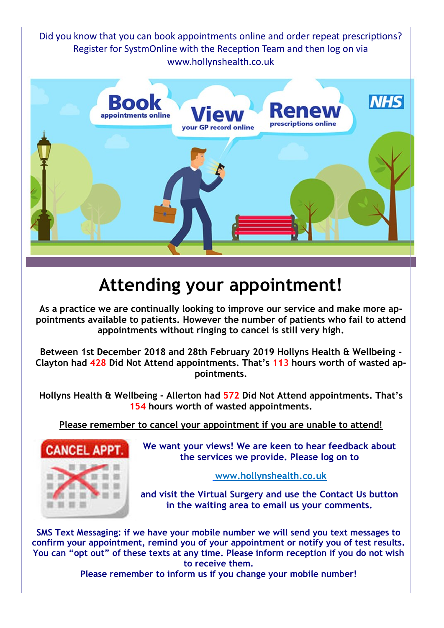Did you know that you can book appointments online and order repeat prescriptions? Register for SystmOnline with the Reception Team and then log on via www.hollynshealth.co.uk



# **Attending your appointment!**

**As a practice we are continually looking to improve our service and make more appointments available to patients. However the number of patients who fail to attend appointments without ringing to cancel is still very high.** 

**Between 1st December 2018 and 28th February 2019 Hollyns Health & Wellbeing - Clayton had 428 Did Not Attend appointments. That's 113 hours worth of wasted appointments.** 

**Hollyns Health & Wellbeing - Allerton had 572 Did Not Attend appointments. That's 154 hours worth of wasted appointments.** 

**Please remember to cancel your appointment if you are unable to attend!**



**We want your views! We are keen to hear feedback about the services we provide. Please log on to**

**www.hollynshealth.co.uk**

**and visit the Virtual Surgery and use the Contact Us button in the waiting area to email us your comments.** 

**SMS Text Messaging: if we have your mobile number we will send you text messages to confirm your appointment, remind you of your appointment or notify you of test results. You can "opt out" of these texts at any time. Please inform reception if you do not wish to receive them.** 

**Please remember to inform us if you change your mobile number!**